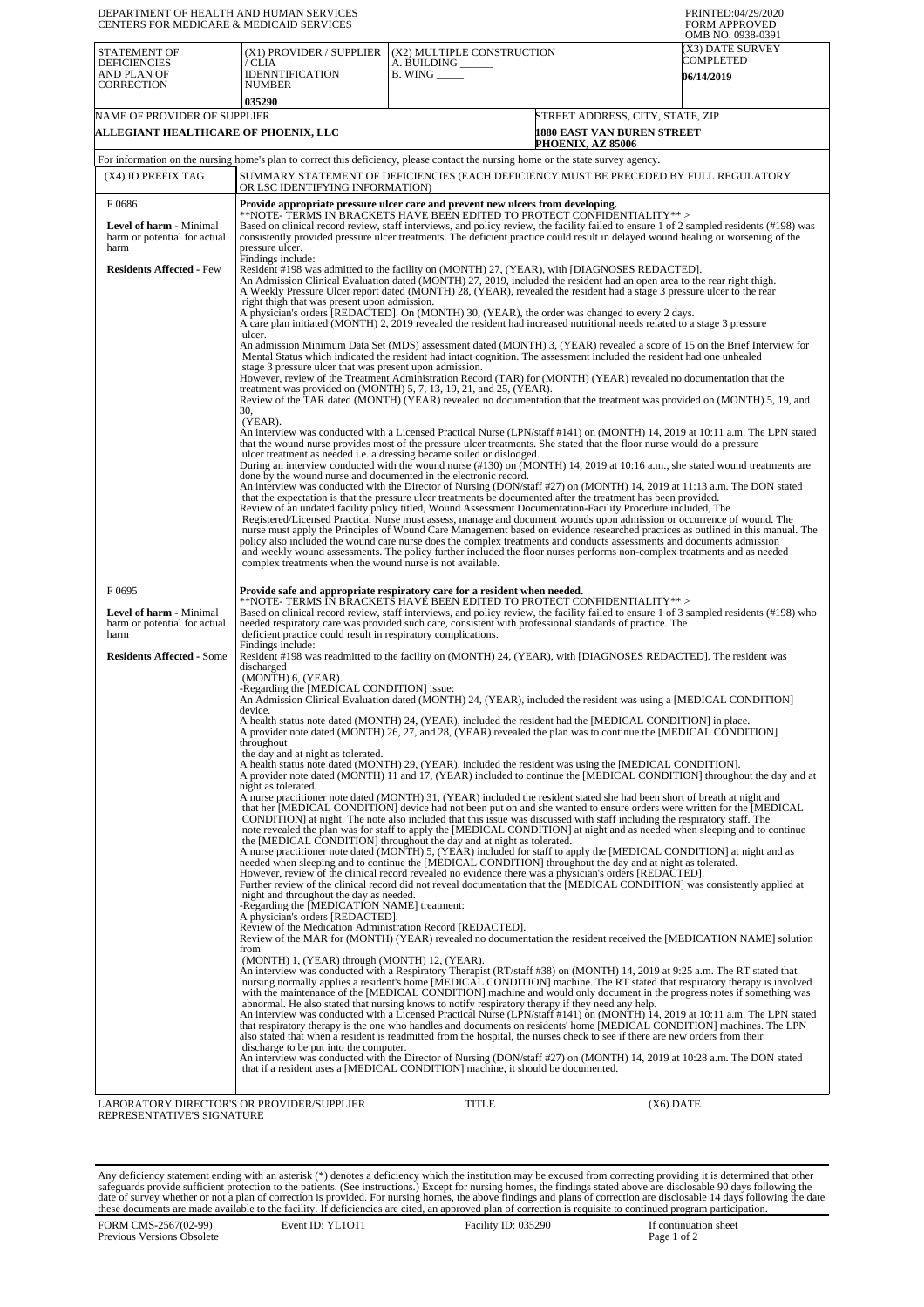| (X3) DATE SURVEY<br><b>STATEMENT OF</b><br>(X1) PROVIDER / SUPPLIER<br>(X2) MULTIPLE CONSTRUCTION<br>COMPLETED<br><b>DEFICIENCIES</b><br>/ CLIA<br>A. BUILDING<br><b>IDENNTIFICATION</b><br>$B.$ WING $\_\_\_\_\_\_\$<br>AND PLAN OF<br><b>06/14/2019</b><br><b>CORRECTION</b><br><b>NUMBER</b><br>035290<br>NAME OF PROVIDER OF SUPPLIER<br>STREET ADDRESS, CITY, STATE, ZIP<br>ALLEGIANT HEALTHCARE OF PHOENIX, LLC<br>1880 EAST VAN BUREN STREET<br>PHOENIX, AZ 85006<br>For information on the nursing home's plan to correct this deficiency, please contact the nursing home or the state survey agency.<br>(X4) ID PREFIX TAG<br>SUMMARY STATEMENT OF DEFICIENCIES (EACH DEFICIENCY MUST BE PRECEDED BY FULL REGULATORY<br>OR LSC IDENTIFYING INFORMATION)<br>F0686<br>Provide appropriate pressure ulcer care and prevent new ulcers from developing.<br>**NOTE- TERMS IN BRACKETS HAVE BEEN EDITED TO PROTECT CONFIDENTIALITY**><br>Based on clinical record review, staff interviews, and policy review, the facility failed to ensure 1 of 2 sampled residents (#198) was<br>Level of harm - Minimal<br>consistently provided pressure ulcer treatments. The deficient practice could result in delayed wound healing or worsening of the<br>harm or potential for actual<br>harm<br>pressure ulcer.<br>Findings include:<br><b>Residents Affected - Few</b><br>Resident #198 was admitted to the facility on (MONTH) 27, (YEAR), with [DIAGNOSES REDACTED].<br>An Admission Clinical Evaluation dated (MONTH) 27, 2019, included the resident had an open area to the rear right thigh.<br>A Weekly Pressure Ulcer report dated (MONTH) 28, (YEAR), revealed the resident had a stage 3 pressure ulcer to the rear<br>right thigh that was present upon admission.<br>A physician's orders [REDACTED]. On (MONTH) 30, (YEAR), the order was changed to every 2 days.<br>A care plan initiated (MONTH) 2, 2019 revealed the resident had increased nutritional needs related to a stage 3 pressure<br>ulcer.<br>An admission Minimum Data Set (MDS) assessment dated (MONTH) 3, (YEAR) revealed a score of 15 on the Brief Interview for<br>Mental Status which indicated the resident had intact cognition. The assessment included the resident had one unhealed<br>stage 3 pressure ulcer that was present upon admission.<br>However, review of the Treatment Administration Record (TAR) for (MONTH) (YEAR) revealed no documentation that the<br>treatment was provided on (MONTH) 5, 7, 13, 19, 21, and 25, (YEAR).<br>Review of the TAR dated (MONTH) (YEAR) revealed no documentation that the treatment was provided on (MONTH) 5, 19, and<br>30,<br>(YEAR).<br>An interview was conducted with a Licensed Practical Nurse (LPN/staff #141) on (MONTH) 14, 2019 at 10:11 a.m. The LPN stated<br>that the wound nurse provides most of the pressure ulcer treatments. She stated that the floor nurse would do a pressure<br>ulcer treatment as needed <i>i.e.</i> a dressing became soiled or dislodged.<br>During an interview conducted with the wound nurse (#130) on (MONTH) 14, 2019 at 10:16 a.m., she stated wound treatments are<br>done by the wound nurse and documented in the electronic record.<br>An interview was conducted with the Director of Nursing (DON/staff #27) on (MONTH) 14, 2019 at 11:13 a.m. The DON stated<br>that the expectation is that the pressure ulcer treatments be documented after the treatment has been provided.<br>Review of an undated facility policy titled, Wound Assessment Documentation-Facility Procedure included, The<br>Registered/Licensed Practical Nurse must assess, manage and document wounds upon admission or occurrence of wound. The<br>nurse must apply the Principles of Wound Care Management based on evidence researched practices as outlined in this manual. The<br>policy also included the wound care nurse does the complex treatments and conducts assessments and documents admission<br>and weekly wound assessments. The policy further included the floor nurses performs non-complex treatments and as needed<br>complex treatments when the wound nurse is not available.<br>F0695<br>Provide safe and appropriate respiratory care for a resident when needed.<br>**NOTE- TERMS ÎÑ BŘACKETŠ HAVĚ BEEN EDITED TO PROTECT CONFIDENTIALITY**><br>Based on clinical record review, staff interviews, and policy review, the facility failed to ensure 1 of 3 sampled residents (#198) who<br>Level of harm - Minimal<br>harm or potential for actual<br>needed respiratory care was provided such care, consistent with professional standards of practice. The<br>deficient practice could result in respiratory complications.<br>harm<br>Findings include:<br><b>Residents Affected - Some</b><br>Resident #198 was readmitted to the facility on (MONTH) 24, (YEAR), with [DIAGNOSES REDACTED]. The resident was<br>discharged<br>(MONTH) 6, (YEAR).<br>-Regarding the [MEDICAL CONDITION] issue:<br>An Admission Clinical Evaluation dated (MONTH) 24, (YEAR), included the resident was using a [MEDICAL CONDITION]<br>device.<br>A health status note dated (MONTH) 24, (YEAR), included the resident had the [MEDICAL CONDITION] in place.<br>A provider note dated (MONTH) 26, 27, and 28, (YEAR) revealed the plan was to continue the [MEDICAL CONDITION]<br>throughout<br>the day and at night as tolerated.<br>A health status note dated (MONTH) 29, (YEAR), included the resident was using the [MEDICAL CONDITION].<br>A provider note dated (MONTH) 11 and 17, (YEAR) included to continue the [MEDICAL CONDITION] throughout the day and at<br>night as tolerated.<br>A nurse practitioner note dated (MONTH) 31, (YEAR) included the resident stated she had been short of breath at night and<br>that her [MEDICAL CONDITION] device had not been put on and she wanted to ensure orders were written for the [MEDICAL<br>CONDITION] at night. The note also included that this issue was discussed with staff including the respiratory staff. The<br>note revealed the plan was for staff to apply the [MEDICAL CONDITION] at night and as needed when sleeping and to continue<br>the [MEDICAL CONDITION] throughout the day and at night as tolerated.<br>A nurse practitioner note dated (MONTH) 5, (YEAR) included for staff to apply the [MEDICAL CONDITION] at night and as<br>needed when sleeping and to continue the [MEDICAL CONDITION] throughout the day and at night as tolerated.<br>However, review of the clinical record revealed no evidence there was a physician's orders [REDACTED].<br>Further review of the clinical record did not reveal documentation that the [MEDICAL CONDITION] was consistently applied at<br>night and throughout the day as needed.<br>-Regarding the [MEDICATION NAME] treatment:<br>A physician's orders [REDACTED].<br>Review of the Medication Administration Record [REDACTED].<br>Review of the MAR for (MONTH) (YEAR) revealed no documentation the resident received the [MEDICATION NAME] solution<br>from<br>(MONTH) 1, (YEAR) through (MONTH) 12, (YEAR).<br>An interview was conducted with a Respiratory Therapist (RT/staff #38) on (MONTH) 14, 2019 at 9:25 a.m. The RT stated that<br>nursing normally applies a resident's home [MEDICAL CONDITION] machine. The RT stated that respiratory therapy is involved<br>with the maintenance of the [MEDICAL CONDITION] machine and would only document in the progress notes if something was<br>abnormal. He also stated that nursing knows to notify respiratory therapy if they need any help.<br>An interview was conducted with a Licensed Practical Nurse (LPN/staff #141) on (MONTH) 14, 2019 at 10:11 a.m. The LPN stated<br>that respiratory therapy is the one who handles and documents on residents' home [MEDICAL CONDITION] machines. The LPN<br>also stated that when a resident is readmitted from the hospital, the nurses check to see if there are new orders from their<br>discharge to be put into the computer.<br>An interview was conducted with the Director of Nursing (DON/staff #27) on (MONTH) 14, 2019 at 10:28 a.m. The DON stated<br>that if a resident uses a [MEDICAL CONDITION] machine, it should be documented. | DEPARTMENT OF HEALTH AND HUMAN SERVICES<br>CENTERS FOR MEDICARE & MEDICAID SERVICES | PRINTED:04/29/2020<br><b>FORM APPROVED</b><br>OMB NO. 0938-0391 |  |  |  |  |
|---------------------------------------------------------------------------------------------------------------------------------------------------------------------------------------------------------------------------------------------------------------------------------------------------------------------------------------------------------------------------------------------------------------------------------------------------------------------------------------------------------------------------------------------------------------------------------------------------------------------------------------------------------------------------------------------------------------------------------------------------------------------------------------------------------------------------------------------------------------------------------------------------------------------------------------------------------------------------------------------------------------------------------------------------------------------------------------------------------------------------------------------------------------------------------------------------------------------------------------------------------------------------------------------------------------------------------------------------------------------------------------------------------------------------------------------------------------------------------------------------------------------------------------------------------------------------------------------------------------------------------------------------------------------------------------------------------------------------------------------------------------------------------------------------------------------------------------------------------------------------------------------------------------------------------------------------------------------------------------------------------------------------------------------------------------------------------------------------------------------------------------------------------------------------------------------------------------------------------------------------------------------------------------------------------------------------------------------------------------------------------------------------------------------------------------------------------------------------------------------------------------------------------------------------------------------------------------------------------------------------------------------------------------------------------------------------------------------------------------------------------------------------------------------------------------------------------------------------------------------------------------------------------------------------------------------------------------------------------------------------------------------------------------------------------------------------------------------------------------------------------------------------------------------------------------------------------------------------------------------------------------------------------------------------------------------------------------------------------------------------------------------------------------------------------------------------------------------------------------------------------------------------------------------------------------------------------------------------------------------------------------------------------------------------------------------------------------------------------------------------------------------------------------------------------------------------------------------------------------------------------------------------------------------------------------------------------------------------------------------------------------------------------------------------------------------------------------------------------------------------------------------------------------------------------------------------------------------------------------------------------------------------------------------------------------------------------------------------------------------------------------------------------------------------------------------------------------------------------------------------------------------------------------------------------------------------------------------------------------------------------------------------------------------------------------------------------------------------------------------------------------------------------------------------------------------------------------------------------------------------------------------------------------------------------------------------------------------------------------------------------------------------------------------------------------------------------------------------------------------------------------------------------------------------------------------------------------------------------------------------------------------------------------------------------------------------------------------------------------------------------------------------------------------------------------------------------------------------------------------------------------------------------------------------------------------------------------------------------------------------------------------------------------------------------------------------------------------------------------------------------------------------------------------------------------------------------------------------------------------------------------------------------------------------------------------------------------------------------------------------------------------------------------------------------------------------------------------------------------------------------------------------------------------------------------------------------------------------------------------------------------------------------------------------------------------------------------------------------------------------------------------------------------------------------------------------------------------------------------------------------------------------------------------------------------------------------------------------------------------------------------------------------------------------------------------------------------------------------------------------------------------------------------------------------------------------------------------------------------------------------------------------------------------------------------------------------------------------------------------------------------------------------------------------------------------------------------------------------------------------------------------------------------------------------------------------------------------------------------------------------------------------------------------------------------------------------------------------------------------------------------------------------------------------------------------------------------------------------------------------------------------------------------------------------------------------------------------------------------------------------------------------------------------------------------------------------------------------------------------------------------------------------------------------------------------------------------------------------------------------------------------------------------------------------------------------------------------------------------------------------------------------------------------------------------------------------------------------------------------------------------------------------------------------------------------------------------------------------------------------------------------------------------------|-------------------------------------------------------------------------------------|-----------------------------------------------------------------|--|--|--|--|
|                                                                                                                                                                                                                                                                                                                                                                                                                                                                                                                                                                                                                                                                                                                                                                                                                                                                                                                                                                                                                                                                                                                                                                                                                                                                                                                                                                                                                                                                                                                                                                                                                                                                                                                                                                                                                                                                                                                                                                                                                                                                                                                                                                                                                                                                                                                                                                                                                                                                                                                                                                                                                                                                                                                                                                                                                                                                                                                                                                                                                                                                                                                                                                                                                                                                                                                                                                                                                                                                                                                                                                                                                                                                                                                                                                                                                                                                                                                                                                                                                                                                                                                                                                                                                                                                                                                                                                                                                                                                                                                                                                                                                                                                                                                                                                                                                                                                                                                                                                                                                                                                                                                                                                                                                                                                                                                                                                                                                                                                                                                                                                                                                                                                                                                                                                                                                                                                                                                                                                                                                                                                                                                                                                                                                                                                                                                                                                                                                                                                                                                                                                                                                                                                                                                                                                                                                                                                                                                                                                                                                                                                                                                                                                                                                                                                                                                                                                                                                                                                                                                                                                                                                                                                                                                                                                                                                                                                                                                                                                                                                                                                                                                                                                                                                                                                                             |                                                                                     |                                                                 |  |  |  |  |
|                                                                                                                                                                                                                                                                                                                                                                                                                                                                                                                                                                                                                                                                                                                                                                                                                                                                                                                                                                                                                                                                                                                                                                                                                                                                                                                                                                                                                                                                                                                                                                                                                                                                                                                                                                                                                                                                                                                                                                                                                                                                                                                                                                                                                                                                                                                                                                                                                                                                                                                                                                                                                                                                                                                                                                                                                                                                                                                                                                                                                                                                                                                                                                                                                                                                                                                                                                                                                                                                                                                                                                                                                                                                                                                                                                                                                                                                                                                                                                                                                                                                                                                                                                                                                                                                                                                                                                                                                                                                                                                                                                                                                                                                                                                                                                                                                                                                                                                                                                                                                                                                                                                                                                                                                                                                                                                                                                                                                                                                                                                                                                                                                                                                                                                                                                                                                                                                                                                                                                                                                                                                                                                                                                                                                                                                                                                                                                                                                                                                                                                                                                                                                                                                                                                                                                                                                                                                                                                                                                                                                                                                                                                                                                                                                                                                                                                                                                                                                                                                                                                                                                                                                                                                                                                                                                                                                                                                                                                                                                                                                                                                                                                                                                                                                                                                                             |                                                                                     |                                                                 |  |  |  |  |
|                                                                                                                                                                                                                                                                                                                                                                                                                                                                                                                                                                                                                                                                                                                                                                                                                                                                                                                                                                                                                                                                                                                                                                                                                                                                                                                                                                                                                                                                                                                                                                                                                                                                                                                                                                                                                                                                                                                                                                                                                                                                                                                                                                                                                                                                                                                                                                                                                                                                                                                                                                                                                                                                                                                                                                                                                                                                                                                                                                                                                                                                                                                                                                                                                                                                                                                                                                                                                                                                                                                                                                                                                                                                                                                                                                                                                                                                                                                                                                                                                                                                                                                                                                                                                                                                                                                                                                                                                                                                                                                                                                                                                                                                                                                                                                                                                                                                                                                                                                                                                                                                                                                                                                                                                                                                                                                                                                                                                                                                                                                                                                                                                                                                                                                                                                                                                                                                                                                                                                                                                                                                                                                                                                                                                                                                                                                                                                                                                                                                                                                                                                                                                                                                                                                                                                                                                                                                                                                                                                                                                                                                                                                                                                                                                                                                                                                                                                                                                                                                                                                                                                                                                                                                                                                                                                                                                                                                                                                                                                                                                                                                                                                                                                                                                                                                                             |                                                                                     |                                                                 |  |  |  |  |
|                                                                                                                                                                                                                                                                                                                                                                                                                                                                                                                                                                                                                                                                                                                                                                                                                                                                                                                                                                                                                                                                                                                                                                                                                                                                                                                                                                                                                                                                                                                                                                                                                                                                                                                                                                                                                                                                                                                                                                                                                                                                                                                                                                                                                                                                                                                                                                                                                                                                                                                                                                                                                                                                                                                                                                                                                                                                                                                                                                                                                                                                                                                                                                                                                                                                                                                                                                                                                                                                                                                                                                                                                                                                                                                                                                                                                                                                                                                                                                                                                                                                                                                                                                                                                                                                                                                                                                                                                                                                                                                                                                                                                                                                                                                                                                                                                                                                                                                                                                                                                                                                                                                                                                                                                                                                                                                                                                                                                                                                                                                                                                                                                                                                                                                                                                                                                                                                                                                                                                                                                                                                                                                                                                                                                                                                                                                                                                                                                                                                                                                                                                                                                                                                                                                                                                                                                                                                                                                                                                                                                                                                                                                                                                                                                                                                                                                                                                                                                                                                                                                                                                                                                                                                                                                                                                                                                                                                                                                                                                                                                                                                                                                                                                                                                                                                                             |                                                                                     |                                                                 |  |  |  |  |
| LABORATORY DIRECTOR'S OR PROVIDER/SUPPLIER<br>TITLE<br>$(X6)$ DATE                                                                                                                                                                                                                                                                                                                                                                                                                                                                                                                                                                                                                                                                                                                                                                                                                                                                                                                                                                                                                                                                                                                                                                                                                                                                                                                                                                                                                                                                                                                                                                                                                                                                                                                                                                                                                                                                                                                                                                                                                                                                                                                                                                                                                                                                                                                                                                                                                                                                                                                                                                                                                                                                                                                                                                                                                                                                                                                                                                                                                                                                                                                                                                                                                                                                                                                                                                                                                                                                                                                                                                                                                                                                                                                                                                                                                                                                                                                                                                                                                                                                                                                                                                                                                                                                                                                                                                                                                                                                                                                                                                                                                                                                                                                                                                                                                                                                                                                                                                                                                                                                                                                                                                                                                                                                                                                                                                                                                                                                                                                                                                                                                                                                                                                                                                                                                                                                                                                                                                                                                                                                                                                                                                                                                                                                                                                                                                                                                                                                                                                                                                                                                                                                                                                                                                                                                                                                                                                                                                                                                                                                                                                                                                                                                                                                                                                                                                                                                                                                                                                                                                                                                                                                                                                                                                                                                                                                                                                                                                                                                                                                                                                                                                                                                          |                                                                                     |                                                                 |  |  |  |  |

LABORATORY DIRECTOR'S OR PROVIDER/SUPPLIER REPRESENTATIVE'S SIGNATURE

Any deficiency statement ending with an asterisk (\*) denotes a deficiency which the institution may be excused from correcting providing it is determined that other safeguards provide sufficient protection to the patients.